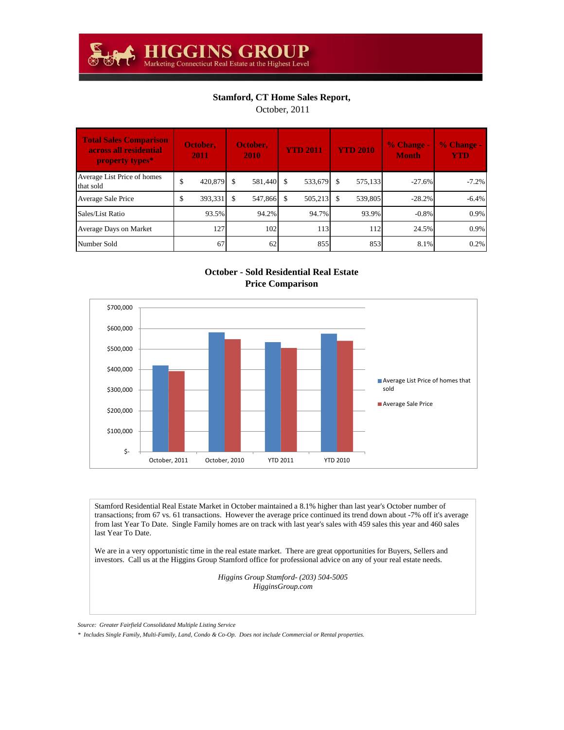## **Stamford, CT Home Sales Report,**

October, 2011

| <b>Total Sales Comparison</b><br>across all residential<br>property types* | October,<br>2011 | October,<br>2010 | <b>YTD 2011</b> |      | <b>YTD 2010</b> | $%$ Change -<br><b>Month</b> | % Change -<br><b>YTD</b> |
|----------------------------------------------------------------------------|------------------|------------------|-----------------|------|-----------------|------------------------------|--------------------------|
| Average List Price of homes<br>that sold                                   | \$<br>420.879 \$ | 581.440          | \$<br>533,679   | - \$ | 575,133         | $-27.6%$                     | $-7.2%$                  |
| Average Sale Price                                                         | \$<br>393,331    | 547,866          | \$<br>505,213   | -\$  | 539,805         | $-28.2%$                     | $-6.4%$                  |
| Sales/List Ratio                                                           | 93.5%            | 94.2%            | 94.7%           |      | 93.9%           | $-0.8%$                      | 0.9%                     |
| Average Days on Market                                                     | 127              | 102              | 113             |      | 112             | 24.5%                        | 0.9%                     |
| Number Sold                                                                | 67               | 62               | 855             |      | 853             | 8.1%                         | 0.2%                     |

## **October - Sold Residential Real Estate Price Comparison**



Stamford Residential Real Estate Market in October maintained a 8.1% higher than last year's October number of transactions; from 67 vs. 61 transactions. However the average price continued its trend down about -7% off it's average from last Year To Date. Single Family homes are on track with last year's sales with 459 sales this year and 460 sales last Year To Date.

We are in a very opportunistic time in the real estate market. There are great opportunities for Buyers, Sellers and investors. Call us at the Higgins Group Stamford office for professional advice on any of your real estate needs.

> *Higgins Group Stamford- (203) 504-5005 HigginsGroup.com*

*Source: Greater Fairfield Consolidated Multiple Listing Service*

*\* Includes Single Family, Multi-Family, Land, Condo & Co-Op. Does not include Commercial or Rental properties.*